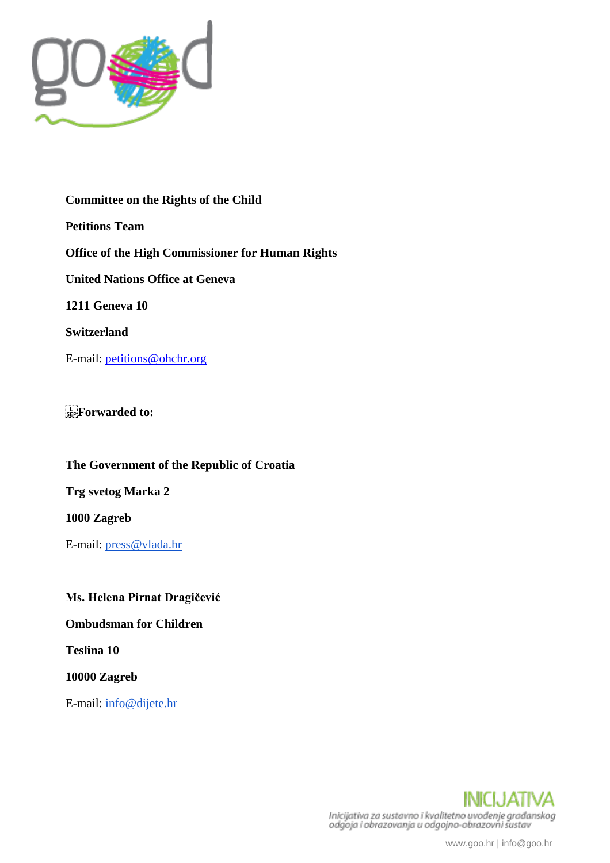

**Committee on the Rights of the Child Petitions Team Office of the High Commissioner for Human Rights United Nations Office at Geneva 1211 Geneva 10 Switzerland** E-mail: petitions@ohchr.org

**Forwarded to:** 

**The Government of the Republic of Croatia**

**Trg svetog Marka 2**

**1000 Zagreb**

E-mail: [press@vlada.hr](mailto:press@vlada.hr)

**Ms. Helena Pirnat Dragičević**

**Ombudsman for Children**

**Teslina 10**

**10000 Zagreb**

E-mail: [info@dijete.hr](mailto:info@dijete.hr)

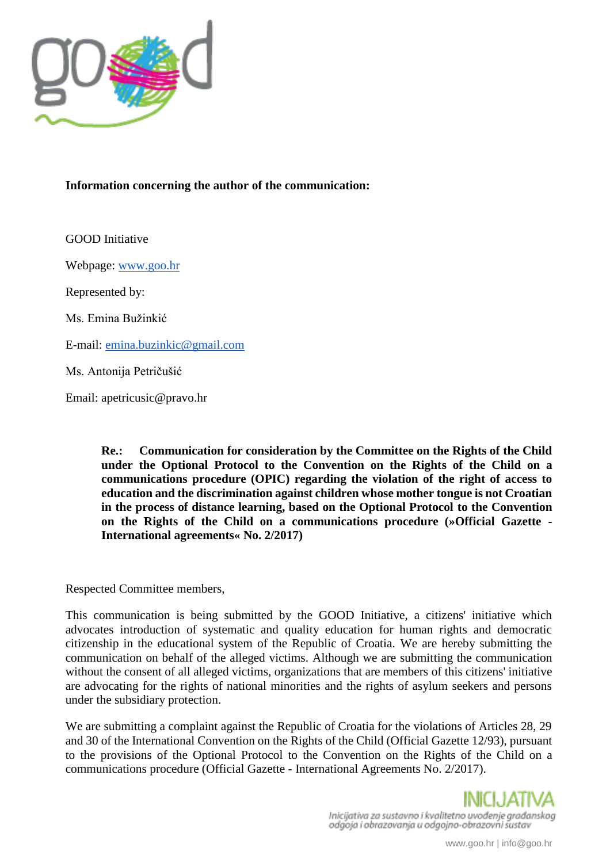

## **Information concerning the author of the communication:**

GOOD Initiative

Webpage: [www.goo.hr](http://www.goo.hr/)

Represented by:

Ms. Emina Bužinkić

E-mail: [emina.buzinkic@gmail.com](mailto:emina.buzinkic@gmail.com)

Ms. Antonija Petričušić

Email: apetricusic@pravo.hr

**Re.: Communication for consideration by the Committee on the Rights of the Child under the Optional Protocol to the Convention on the Rights of the Child on a communications procedure (OPIC) regarding the violation of the right of access to education and the discrimination against children whose mother tongue is not Croatian in the process of distance learning, based on the Optional Protocol to the Convention on the Rights of the Child on a communications procedure (»Official Gazette - International agreements« No. 2/2017)**

Respected Committee members,

This communication is being submitted by the GOOD Initiative, a citizens' initiative which advocates introduction of systematic and quality education for human rights and democratic citizenship in the educational system of the Republic of Croatia. We are hereby submitting the communication on behalf of the alleged victims. Although we are submitting the communication without the consent of all alleged victims, organizations that are members of this citizens' initiative are advocating for the rights of national minorities and the rights of asylum seekers and persons under the subsidiary protection.

We are submitting a complaint against the Republic of Croatia for the violations of Articles 28, 29 and 30 of the International Convention on the Rights of the Child (Official Gazette 12/93), pursuant to the provisions of the Optional Protocol to the Convention on the Rights of the Child on a communications procedure (Official Gazette - International Agreements No. 2/2017).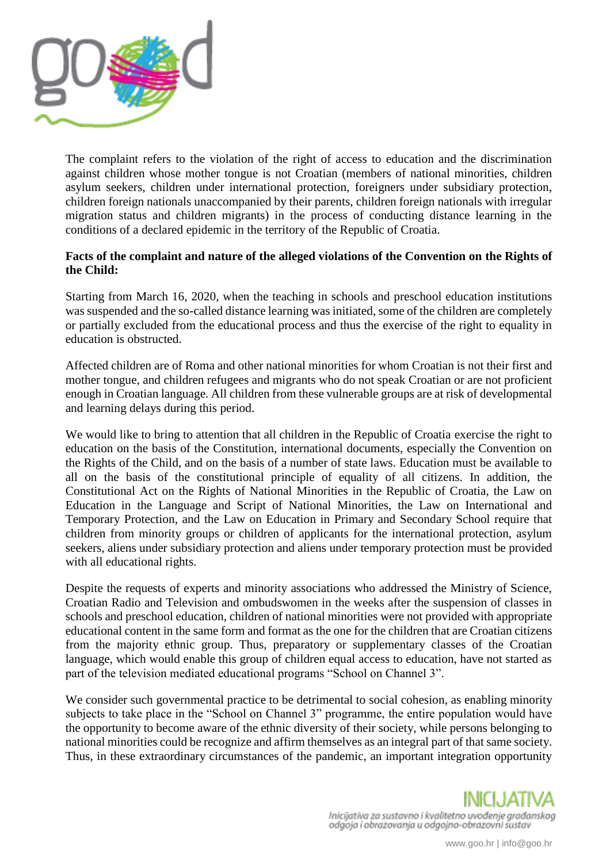

The complaint refers to the violation of the right of access to education and the discrimination against children whose mother tongue is not Croatian (members of national minorities, children asylum seekers, children under international protection, foreigners under subsidiary protection, children foreign nationals unaccompanied by their parents, children foreign nationals with irregular migration status and children migrants) in the process of conducting distance learning in the conditions of a declared epidemic in the territory of the Republic of Croatia.

## **Facts of the complaint and nature of the alleged violations of the Convention on the Rights of the Child:**

Starting from March 16, 2020, when the teaching in schools and preschool education institutions was suspended and the so-called distance learning was initiated, some of the children are completely or partially excluded from the educational process and thus the exercise of the right to equality in education is obstructed.

Affected children are of Roma and other national minorities for whom Croatian is not their first and mother tongue, and children refugees and migrants who do not speak Croatian or are not proficient enough in Croatian language. All children from these vulnerable groups are at risk of developmental and learning delays during this period.

We would like to bring to attention that all children in the Republic of Croatia exercise the right to education on the basis of the Constitution, international documents, especially the Convention on the Rights of the Child, and on the basis of a number of state laws. Education must be available to all on the basis of the constitutional principle of equality of all citizens. In addition, the Constitutional Act on the Rights of National Minorities in the Republic of Croatia, the Law on Education in the Language and Script of National Minorities, the Law on International and Temporary Protection, and the Law on Education in Primary and Secondary School require that children from minority groups or children of applicants for the international protection, asylum seekers, aliens under subsidiary protection and aliens under temporary protection must be provided with all educational rights.

Despite the requests of experts and minority associations who addressed the Ministry of Science, Croatian Radio and Television and ombudswomen in the weeks after the suspension of classes in schools and preschool education, children of national minorities were not provided with appropriate educational content in the same form and format as the one for the children that are Croatian citizens from the majority ethnic group. Thus, preparatory or supplementary classes of the Croatian language, which would enable this group of children equal access to education, have not started as part of the television mediated educational programs "School on Channel 3".

We consider such governmental practice to be detrimental to social cohesion, as enabling minority subjects to take place in the "School on Channel 3" programme, the entire population would have the opportunity to become aware of the ethnic diversity of their society, while persons belonging to national minorities could be recognize and affirm themselves as an integral part of that same society. Thus, in these extraordinary circumstances of the pandemic, an important integration opportunity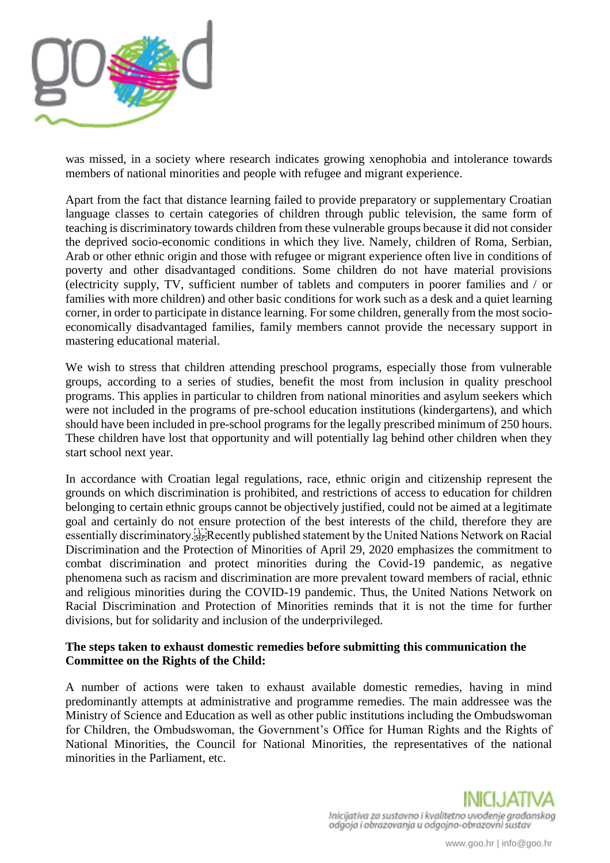

was missed, in a society where research indicates growing xenophobia and intolerance towards members of national minorities and people with refugee and migrant experience.

Apart from the fact that distance learning failed to provide preparatory or supplementary Croatian language classes to certain categories of children through public television, the same form of teaching is discriminatory towards children from these vulnerable groups because it did not consider the deprived socio-economic conditions in which they live. Namely, children of Roma, Serbian, Arab or other ethnic origin and those with refugee or migrant experience often live in conditions of poverty and other disadvantaged conditions. Some children do not have material provisions (electricity supply, TV, sufficient number of tablets and computers in poorer families and / or families with more children) and other basic conditions for work such as a desk and a quiet learning corner, in order to participate in distance learning. For some children, generally from the most socioeconomically disadvantaged families, family members cannot provide the necessary support in mastering educational material.

We wish to stress that children attending preschool programs, especially those from vulnerable groups, according to a series of studies, benefit the most from inclusion in quality preschool programs. This applies in particular to children from national minorities and asylum seekers which were not included in the programs of pre-school education institutions (kindergartens), and which should have been included in pre-school programs for the legally prescribed minimum of 250 hours. These children have lost that opportunity and will potentially lag behind other children when they start school next year.

In accordance with Croatian legal regulations, race, ethnic origin and citizenship represent the grounds on which discrimination is prohibited, and restrictions of access to education for children belonging to certain ethnic groups cannot be objectively justified, could not be aimed at a legitimate goal and certainly do not ensure protection of the best interests of the child, therefore they are essentially discriminatory.<sup>[17]</sup>Recently published statement by the United Nations Network on Racial Discrimination and the Protection of Minorities of April 29, 2020 emphasizes the commitment to combat discrimination and protect minorities during the Covid-19 pandemic, as negative phenomena such as racism and discrimination are more prevalent toward members of racial, ethnic and religious minorities during the COVID-19 pandemic. Thus, the United Nations Network on Racial Discrimination and Protection of Minorities reminds that it is not the time for further divisions, but for solidarity and inclusion of the underprivileged.

## **The steps taken to exhaust domestic remedies before submitting this communication the Committee on the Rights of the Child:**

A number of actions were taken to exhaust available domestic remedies, having in mind predominantly attempts at administrative and programme remedies. The main addressee was the Ministry of Science and Education as well as other public institutions including the Ombudswoman for Children, the Ombudswoman, the Government's Office for Human Rights and the Rights of National Minorities, the Council for National Minorities, the representatives of the national minorities in the Parliament, etc.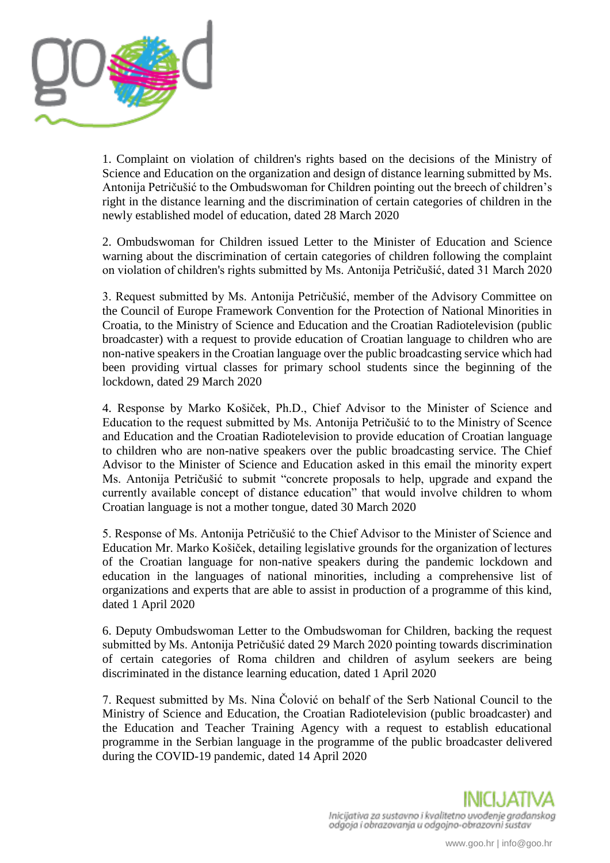

1. Complaint on violation of children's rights based on the decisions of the Ministry of Science and Education on the organization and design of distance learning submitted by Ms. Antonija Petričušić to the Ombudswoman for Children pointing out the breech of children's right in the distance learning and the discrimination of certain categories of children in the newly established model of education, dated 28 March 2020

2. Ombudswoman for Children issued Letter to the Minister of Education and Science warning about the discrimination of certain categories of children following the complaint on violation of children's rights submitted by Ms. Antonija Petričušić, dated 31 March 2020

3. Request submitted by Ms. Antonija Petričušić, member of the Advisory Committee on the Council of Europe Framework Convention for the Protection of National Minorities in Croatia, to the Ministry of Science and Education and the Croatian Radiotelevision (public broadcaster) with a request to provide education of Croatian language to children who are non-native speakers in the Croatian language over the public broadcasting service which had been providing virtual classes for primary school students since the beginning of the lockdown, dated 29 March 2020

4. Response by Marko Košiček, Ph.D., Chief Advisor to the Minister of Science and Education to the request submitted by Ms. Antonija Petričušić to to the Ministry of Scence and Education and the Croatian Radiotelevision to provide education of Croatian language to children who are non-native speakers over the public broadcasting service. The Chief Advisor to the Minister of Science and Education asked in this email the minority expert Ms. Antonija Petričušić to submit "concrete proposals to help, upgrade and expand the currently available concept of distance education" that would involve children to whom Croatian language is not a mother tongue, dated 30 March 2020

5. Response of Ms. Antonija Petričušić to the Chief Advisor to the Minister of Science and Education Mr. Marko Košiček, detailing legislative grounds for the organization of lectures of the Croatian language for non-native speakers during the pandemic lockdown and education in the languages of national minorities, including a comprehensive list of organizations and experts that are able to assist in production of a programme of this kind, dated 1 April 2020

6. Deputy Ombudswoman Letter to the Ombudswoman for Children, backing the request submitted by Ms. Antonija Petričušić dated 29 March 2020 pointing towards discrimination of certain categories of Roma children and children of asylum seekers are being discriminated in the distance learning education, dated 1 April 2020

7. Request submitted by Ms. Nina Čolović on behalf of the Serb National Council to the Ministry of Science and Education, the Croatian Radiotelevision (public broadcaster) and the Education and Teacher Training Agency with a request to establish educational programme in the Serbian language in the programme of the public broadcaster delivered during the COVID-19 pandemic, dated 14 April 2020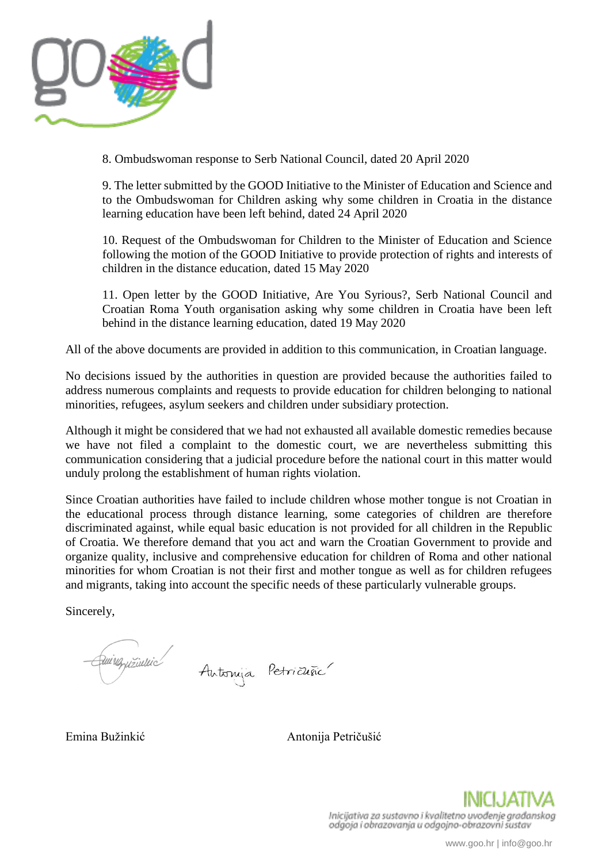

8. Ombudswoman response to Serb National Council, dated 20 April 2020

9. The letter submitted by the GOOD Initiative to the Minister of Education and Science and to the Ombudswoman for Children asking why some children in Croatia in the distance learning education have been left behind, dated 24 April 2020

10. Request of the Ombudswoman for Children to the Minister of Education and Science following the motion of the GOOD Initiative to provide protection of rights and interests of children in the distance education, dated 15 May 2020

11. Open letter by the GOOD Initiative, Are You Syrious?, Serb National Council and Croatian Roma Youth organisation asking why some children in Croatia have been left behind in the distance learning education, dated 19 May 2020

All of the above documents are provided in addition to this communication, in Croatian language.

No decisions issued by the authorities in question are provided because the authorities failed to address numerous complaints and requests to provide education for children belonging to national minorities, refugees, asylum seekers and children under subsidiary protection.

Although it might be considered that we had not exhausted all available domestic remedies because we have not filed a complaint to the domestic court, we are nevertheless submitting this communication considering that a judicial procedure before the national court in this matter would unduly prolong the establishment of human rights violation.

Since Croatian authorities have failed to include children whose mother tongue is not Croatian in the educational process through distance learning, some categories of children are therefore discriminated against, while equal basic education is not provided for all children in the Republic of Croatia. We therefore demand that you act and warn the Croatian Government to provide and organize quality, inclusive and comprehensive education for children of Roma and other national minorities for whom Croatian is not their first and mother tongue as well as for children refugees and migrants, taking into account the specific needs of these particularly vulnerable groups.

Sincerely,

Quingrizinnic Antonya Petricuña

Emina Bužinkić Antonija Petričušić

Inicijativa za sustavno i kvalitetno uvođenje građanskog odgoja i obrazovanja u odgojno-obrazovni šustav

www.goo.hr | info@goo.hr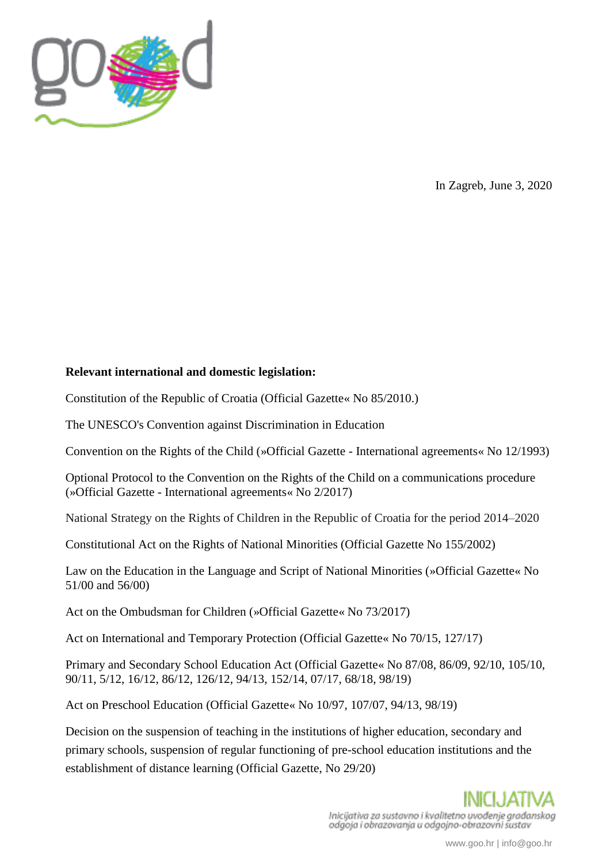

In Zagreb, June 3, 2020

## **Relevant international and domestic legislation:**

Constitution of the Republic of Croatia (Official Gazette« No 85/2010.)

The UNESCO's Convention against Discrimination in Education

Convention on the Rights of the Child (»Official Gazette - International agreements« No 12/1993)

Optional Protocol to the Convention on the Rights of the Child on a communications procedure (»Official Gazette - International agreements« No 2/2017)

National Strategy on the Rights of Children in the Republic of Croatia for the period 2014–2020

Constitutional Act on the Rights of National Minorities (Official Gazette No 155/2002)

Law on the Education in the Language and Script of National Minorities (»Official Gazette« No 51/00 and 56/00)

Act on the Ombudsman for Children (»Official Gazette« No 73/2017)

Act on International and Temporary Protection (Official Gazette« No 70/15, 127/17)

Primary and Secondary School Education Act (Official Gazette« No 87/08, 86/09, 92/10, 105/10, 90/11, 5/12, 16/12, 86/12, 126/12, 94/13, 152/14, 07/17, 68/18, 98/19)

Act on Preschool Education (Official Gazette« No 10/97, 107/07, 94/13, 98/19)

Decision on the suspension of teaching in the institutions of higher education, secondary and primary schools, suspension of regular functioning of pre-school education institutions and the establishment of distance learning (Official Gazette, No 29/20)